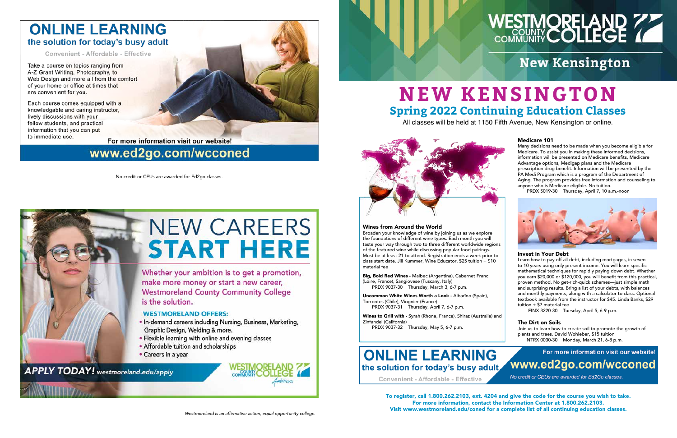### **ONLINE LEARNING** the solution for today's busy adult

Convenient - Affordable - Effective

Take a course on topics ranging from A-Z Grant Writing, Photography, to Web Design and more all from the comfort of your home or office at times that are convenient for you.

Each course comes equipped with a knowledgable and caring instructor, lively discussions with your fellow students, and practical information that you can put to immediate use.



# www.ed2go.com/wcconed

To register, call 1.800.262.2103, ext. 4204 and give the code for the course you wish to take. For more information, contact the Information Center at 1.800.262.2103. Visit www.westmoreland.edu/coned for a complete list of all continuing education classes.

### Wines from Around the World

Broaden your knowledge of wine by joining us as we explore the foundations of different wine types. Each month you will taste your way through two to three different worldwide regions of the featured wine while discussing popular food pairings. Must be at least 21 to attend. Registration ends a week prior to class start date. Jill Kummer, Wine Educator, \$25 tuition + \$10 material fee

Big, Bold Red Wines - Malbec (Argentina), Cabernet Franc (Loire, France), Sangiovese (Tuscany, Italy) PRDX 9037-30 Thursday, March 3, 6-7 p.m.

Uncommon White Wines Worth a Look - Albarīno (Spain), Torrontes (Chile), Viognier (France) PRDX 9037-31 Thursday, April 7, 6-7 p.m.

Wines to Grill with - Syrah (Rhone, France), Shiraz (Australia) and

Zinfandel (California) PRDX 9037-32 Thursday, May 5, 6-7 p.m.

## **ONLINE LEARNING** the solution for today's busy adult

Convenient - Affordable - Effective

### Medicare 101

Many decisions need to be made when you become eligible for Medicare. To assist you in making these informed decisions, information will be presented on Medicare benefits, Medicare Advantage options, Medigap plans and the Medicare prescription drug benefit. Information will be presented by the PA Medi Program which is a program of the Department of Aging. The program provides free information and counseling to anyone who is Medicare eligible. No tuition.





#### Invest in Your Debt

Learn how to pay off all debt, including mortgages, in seven to 10 years using only present income. You will learn specific mathematical techniques for rapidly paying down debt. Whether you earn \$20,000 or \$120,000, you will benefit from this practical, proven method. No get-rich-quick schemes—just simple math and surprising results. Bring a list of your debts, with balances and monthly payments, along with a calculator to class. Optional textbook available from the instructor for \$45. Linda Banks, \$29 tuition + \$7 material fee

FINX 3220-30 Tuesday, April 5, 6-9 p.m.

### The Dirt on Soils

Join us to learn how to create soil to promote the growth of plants and trees. David Wohleber, \$15 tuition NTRX 0030-30 Monday, March 21, 6-8 p.m.



No credit or CEUs are awarded for Ed2go classes.





# **NEW KENSINGTON Spring 2022 Continuing Education Classes**

All classes will be held at 1150 Fifth Avenue, New Kensington or online.



# WESTMORELAND 77

# **New Kensington**